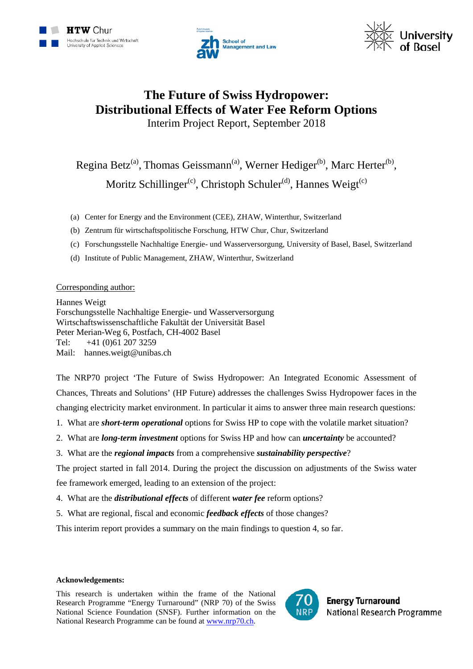





## **The Future of Swiss Hydropower: Distributional Effects of Water Fee Reform Options** Interim Project Report, September 2018

Regina Betz<sup>(a)</sup>, Thomas Geissmann<sup>(a)</sup>, Werner Hediger<sup>(b)</sup>, Marc Herter<sup>(b)</sup>, Moritz Schillinger<sup>(c)</sup>, Christoph Schuler<sup>(d)</sup>, Hannes Weigt<sup>(c)</sup>

- (a) Center for Energy and the Environment (CEE), ZHAW, Winterthur, Switzerland
- (b) Zentrum für wirtschaftspolitische Forschung, HTW Chur, Chur, Switzerland
- (c) Forschungsstelle Nachhaltige Energie- und Wasserversorgung, University of Basel, Basel, Switzerland
- (d) Institute of Public Management, ZHAW, Winterthur, Switzerland

#### Corresponding author:

Hannes Weigt Forschungsstelle Nachhaltige Energie- und Wasserversorgung Wirtschaftswissenschaftliche Fakultät der Universität Basel Peter Merian-Weg 6, Postfach, CH-4002 Basel Tel: +41 (0)61 207 3259 Mail: hannes.weigt@unibas.ch

The NRP70 project 'The Future of Swiss Hydropower: An Integrated Economic Assessment of Chances, Threats and Solutions' (HP Future) addresses the challenges Swiss Hydropower faces in the changing electricity market environment. In particular it aims to answer three main research questions:

- 1. What are *short-term operational* options for Swiss HP to cope with the volatile market situation?
- 2. What are *long-term investment* options for Swiss HP and how can *uncertainty* be accounted?
- 3. What are the *regional impacts* from a comprehensive *sustainability perspective*?

The project started in fall 2014. During the project the discussion on adjustments of the Swiss water fee framework emerged, leading to an extension of the project:

- 4. What are the *distributional effects* of different *water fee* reform options?
- 5. What are regional, fiscal and economic *feedback effects* of those changes?

This interim report provides a summary on the main findings to question 4, so far.

#### **Acknowledgements:**

This research is undertaken within the frame of the National Research Programme "Energy Turnaround" (NRP 70) of the Swiss National Science Foundation (SNSF). Further information on the National Research Programme can be found at [www.nrp70.ch.](http://www.nrp70.ch/)

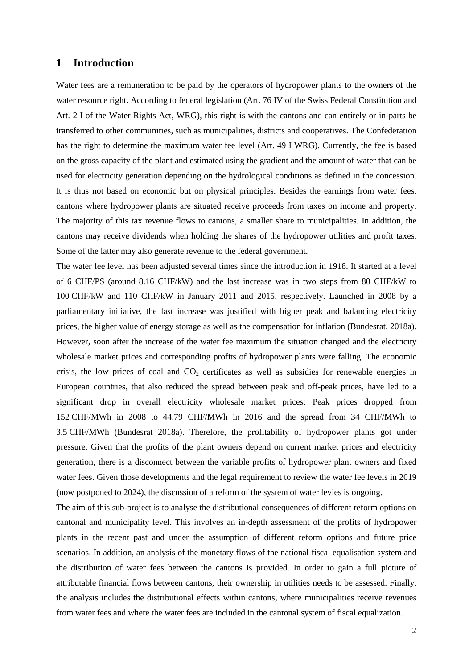#### **1 Introduction**

Water fees are a remuneration to be paid by the operators of hydropower plants to the owners of the water resource right. According to federal legislation (Art. 76 IV of the Swiss Federal Constitution and Art. 2 I of the Water Rights Act, WRG), this right is with the cantons and can entirely or in parts be transferred to other communities, such as municipalities, districts and cooperatives. The Confederation has the right to determine the maximum water fee level (Art. 49 I WRG). Currently, the fee is based on the gross capacity of the plant and estimated using the gradient and the amount of water that can be used for electricity generation depending on the hydrological conditions as defined in the concession. It is thus not based on economic but on physical principles. Besides the earnings from water fees, cantons where hydropower plants are situated receive proceeds from taxes on income and property. The majority of this tax revenue flows to cantons, a smaller share to municipalities. In addition, the cantons may receive dividends when holding the shares of the hydropower utilities and profit taxes. Some of the latter may also generate revenue to the federal government.

The water fee level has been adjusted several times since the introduction in 1918. It started at a level of 6 CHF/PS (around 8.16 CHF/kW) and the last increase was in two steps from 80 CHF/kW to 100 CHF/kW and 110 CHF/kW in January 2011 and 2015, respectively. Launched in 2008 by a parliamentary initiative, the last increase was justified with higher peak and balancing electricity prices, the higher value of energy storage as well as the compensation for inflation (Bundesrat, 2018a). However, soon after the increase of the water fee maximum the situation changed and the electricity wholesale market prices and corresponding profits of hydropower plants were falling. The economic crisis, the low prices of coal and  $CO<sub>2</sub>$  certificates as well as subsidies for renewable energies in European countries, that also reduced the spread between peak and off-peak prices, have led to a significant drop in overall electricity wholesale market prices: Peak prices dropped from 152 CHF/MWh in 2008 to 44.79 CHF/MWh in 2016 and the spread from 34 CHF/MWh to 3.5 CHF/MWh (Bundesrat 2018a). Therefore, the profitability of hydropower plants got under pressure. Given that the profits of the plant owners depend on current market prices and electricity generation, there is a disconnect between the variable profits of hydropower plant owners and fixed water fees. Given those developments and the legal requirement to review the water fee levels in 2019 (now postponed to 2024), the discussion of a reform of the system of water levies is ongoing.

The aim of this sub-project is to analyse the distributional consequences of different reform options on cantonal and municipality level. This involves an in-depth assessment of the profits of hydropower plants in the recent past and under the assumption of different reform options and future price scenarios. In addition, an analysis of the monetary flows of the national fiscal equalisation system and the distribution of water fees between the cantons is provided. In order to gain a full picture of attributable financial flows between cantons, their ownership in utilities needs to be assessed. Finally, the analysis includes the distributional effects within cantons, where municipalities receive revenues from water fees and where the water fees are included in the cantonal system of fiscal equalization.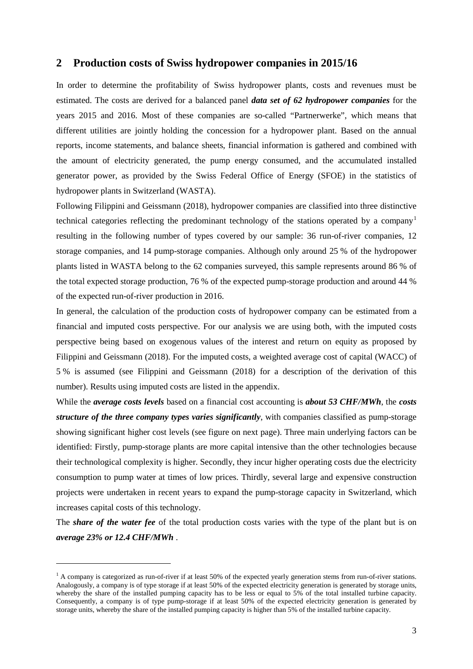## **2 Production costs of Swiss hydropower companies in 2015/16**

In order to determine the profitability of Swiss hydropower plants, costs and revenues must be estimated. The costs are derived for a balanced panel *data set of 62 hydropower companies* for the years 2015 and 2016. Most of these companies are so-called "Partnerwerke", which means that different utilities are jointly holding the concession for a hydropower plant. Based on the annual reports, income statements, and balance sheets, financial information is gathered and combined with the amount of electricity generated, the pump energy consumed, and the accumulated installed generator power, as provided by the Swiss Federal Office of Energy (SFOE) in the statistics of hydropower plants in Switzerland (WASTA).

Following Filippini and Geissmann (2018), hydropower companies are classified into three distinctive technical categories reflecting the predominant technology of the stations operated by a company<sup>[1](#page-2-0)</sup> resulting in the following number of types covered by our sample: 36 run-of-river companies, 12 storage companies, and 14 pump-storage companies. Although only around 25 % of the hydropower plants listed in WASTA belong to the 62 companies surveyed, this sample represents around 86 % of the total expected storage production, 76 % of the expected pump-storage production and around 44 % of the expected run-of-river production in 2016.

In general, the calculation of the production costs of hydropower company can be estimated from a financial and imputed costs perspective. For our analysis we are using both, with the imputed costs perspective being based on exogenous values of the interest and return on equity as proposed by Filippini and Geissmann (2018). For the imputed costs, a weighted average cost of capital (WACC) of 5 % is assumed (see Filippini and Geissmann (2018) for a description of the derivation of this number). Results using imputed costs are listed in the appendix.

While the *average costs levels* based on a financial cost accounting is *about 53 CHF/MWh*, the *costs structure of the three company types varies significantly*, with companies classified as pump-storage showing significant higher cost levels (see figure on next page). Three main underlying factors can be identified: Firstly, pump-storage plants are more capital intensive than the other technologies because their technological complexity is higher. Secondly, they incur higher operating costs due the electricity consumption to pump water at times of low prices. Thirdly, several large and expensive construction projects were undertaken in recent years to expand the pump-storage capacity in Switzerland, which increases capital costs of this technology.

The *share of the water fee* of the total production costs varies with the type of the plant but is on *average 23% or 12.4 CHF/MWh* .

 $\overline{a}$ 

<span id="page-2-0"></span> $<sup>1</sup>$  A company is categorized as run-of-river if at least 50% of the expected yearly generation stems from run-of-river stations.</sup> Analogously, a company is of type storage if at least 50% of the expected electricity generation is generated by storage units, whereby the share of the installed pumping capacity has to be less or equal to 5% of the total installed turbine capacity. Consequently, a company is of type pump-storage if at least 50% of the expected electricity generation is generated by storage units, whereby the share of the installed pumping capacity is higher than 5% of the installed turbine capacity.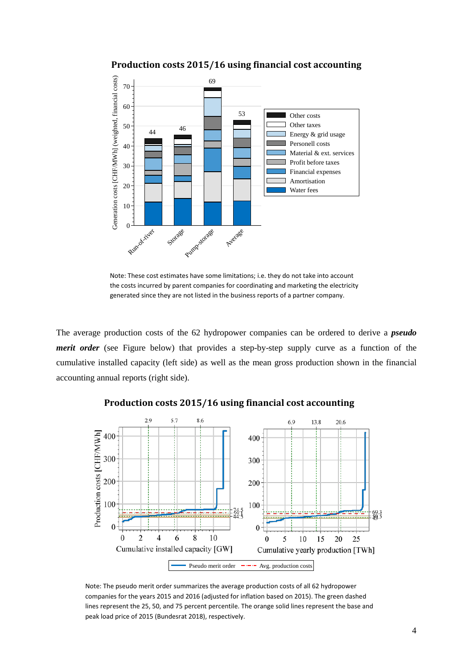

**Production costs 2015/16 using financial cost accounting**

Note: These cost estimates have some limitations; i.e. they do not take into account the costs incurred by parent companies for coordinating and marketing the electricity generated since they are not listed in the business reports of a partner company.

The average production costs of the 62 hydropower companies can be ordered to derive a *pseudo merit order* (see Figure below) that provides a step-by-step supply curve as a function of the cumulative installed capacity (left side) as well as the mean gross production shown in the financial accounting annual reports (right side).



#### **Production costs 2015/16 using financial cost accounting**

Note: The pseudo merit order summarizes the average production costs of all 62 hydropower companies for the years 2015 and 2016 (adjusted for inflation based on 2015). The green dashed lines represent the 25, 50, and 75 percent percentile. The orange solid lines represent the base and peak load price of 2015 (Bundesrat 2018), respectively.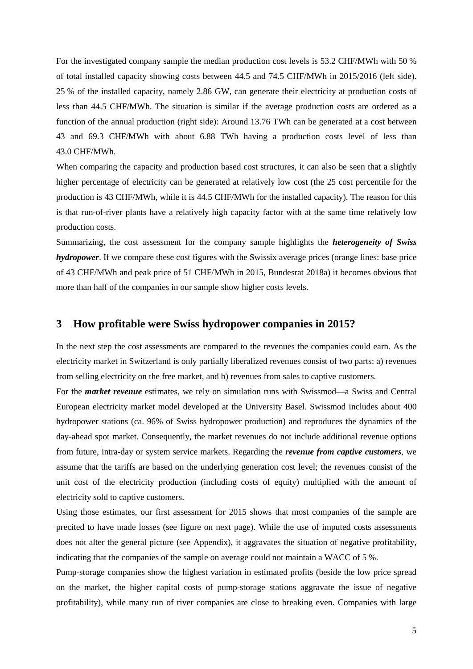For the investigated company sample the median production cost levels is 53.2 CHF/MWh with 50 % of total installed capacity showing costs between 44.5 and 74.5 CHF/MWh in 2015/2016 (left side). 25 % of the installed capacity, namely 2.86 GW, can generate their electricity at production costs of less than 44.5 CHF/MWh. The situation is similar if the average production costs are ordered as a function of the annual production (right side): Around 13.76 TWh can be generated at a cost between 43 and 69.3 CHF/MWh with about 6.88 TWh having a production costs level of less than 43.0 CHF/MWh.

When comparing the capacity and production based cost structures, it can also be seen that a slightly higher percentage of electricity can be generated at relatively low cost (the 25 cost percentile for the production is 43 CHF/MWh, while it is 44.5 CHF/MWh for the installed capacity). The reason for this is that run-of-river plants have a relatively high capacity factor with at the same time relatively low production costs.

Summarizing, the cost assessment for the company sample highlights the *heterogeneity of Swiss hydropower*. If we compare these cost figures with the Swissix average prices (orange lines: base price of 43 CHF/MWh and peak price of 51 CHF/MWh in 2015, Bundesrat 2018a) it becomes obvious that more than half of the companies in our sample show higher costs levels.

#### **3 How profitable were Swiss hydropower companies in 2015?**

In the next step the cost assessments are compared to the revenues the companies could earn. As the electricity market in Switzerland is only partially liberalized revenues consist of two parts: a) revenues from selling electricity on the free market, and b) revenues from sales to captive customers.

For the *market revenue* estimates, we rely on simulation runs with Swissmod—a Swiss and Central European electricity market model developed at the University Basel. Swissmod includes about 400 hydropower stations (ca. 96% of Swiss hydropower production) and reproduces the dynamics of the day-ahead spot market. Consequently, the market revenues do not include additional revenue options from future, intra-day or system service markets. Regarding the *revenue from captive customers*, we assume that the tariffs are based on the underlying generation cost level; the revenues consist of the unit cost of the electricity production (including costs of equity) multiplied with the amount of electricity sold to captive customers.

Using those estimates, our first assessment for 2015 shows that most companies of the sample are precited to have made losses (see figure on next page). While the use of imputed costs assessments does not alter the general picture (see Appendix), it aggravates the situation of negative profitability, indicating that the companies of the sample on average could not maintain a WACC of 5 %.

Pump-storage companies show the highest variation in estimated profits (beside the low price spread on the market, the higher capital costs of pump-storage stations aggravate the issue of negative profitability), while many run of river companies are close to breaking even. Companies with large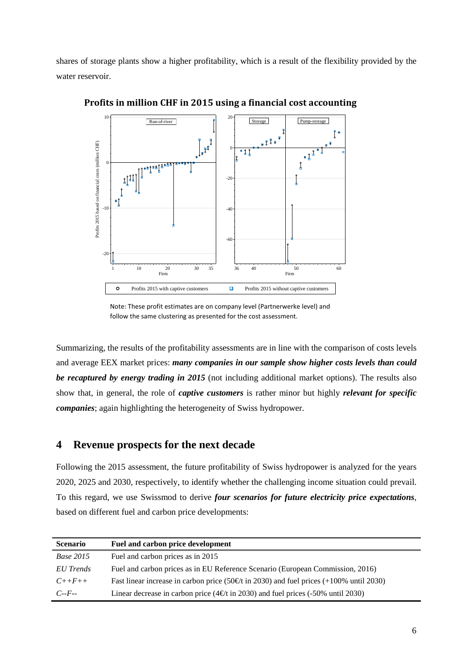shares of storage plants show a higher profitability, which is a result of the flexibility provided by the water reservoir.



**Profits in million CHF in 2015 using a financial cost accounting**

Summarizing, the results of the profitability assessments are in line with the comparison of costs levels and average EEX market prices: *many companies in our sample show higher costs levels than could be recaptured by energy trading in 2015* (not including additional market options). The results also show that, in general, the role of *captive customers* is rather minor but highly *relevant for specific companies*; again highlighting the heterogeneity of Swiss hydropower.

## **4 Revenue prospects for the next decade**

Following the 2015 assessment, the future profitability of Swiss hydropower is analyzed for the years 2020, 2025 and 2030, respectively, to identify whether the challenging income situation could prevail. To this regard, we use Swissmod to derive *four scenarios for future electricity price expectations*, based on different fuel and carbon price developments:

| <b>Scenario</b>  | Fuel and carbon price development                                                                             |
|------------------|---------------------------------------------------------------------------------------------------------------|
| <b>Base 2015</b> | Fuel and carbon prices as in 2015                                                                             |
| EU Trends        | Fuel and carbon prices as in EU Reference Scenario (European Commission, 2016)                                |
| $C_{++}F_{++}$   | Fast linear increase in carbon price (50 $\text{\textsterling}$ t in 2030) and fuel prices (+100% until 2030) |
| $C - F -$        | Linear decrease in carbon price ( $4 \infty$ t in 2030) and fuel prices (-50% until 2030)                     |

Note: These profit estimates are on company level (Partnerwerke level) and follow the same clustering as presented for the cost assessment.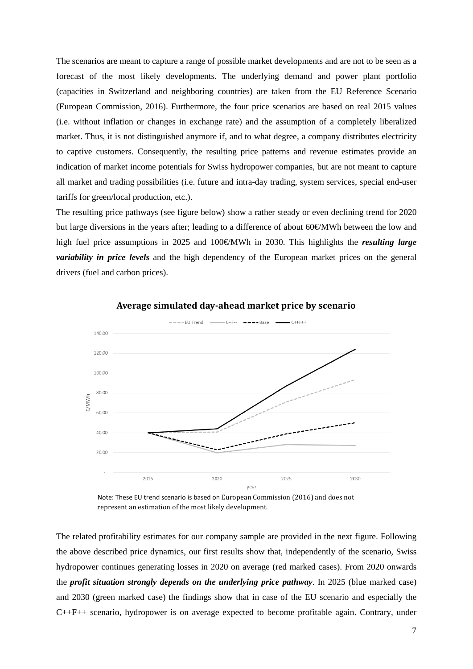The scenarios are meant to capture a range of possible market developments and are not to be seen as a forecast of the most likely developments. The underlying demand and power plant portfolio (capacities in Switzerland and neighboring countries) are taken from the EU Reference Scenario (European Commission, 2016). Furthermore, the four price scenarios are based on real 2015 values (i.e. without inflation or changes in exchange rate) and the assumption of a completely liberalized market. Thus, it is not distinguished anymore if, and to what degree, a company distributes electricity to captive customers. Consequently, the resulting price patterns and revenue estimates provide an indication of market income potentials for Swiss hydropower companies, but are not meant to capture all market and trading possibilities (i.e. future and intra-day trading, system services, special end-user tariffs for green/local production, etc.).

The resulting price pathways (see figure below) show a rather steady or even declining trend for 2020 but large diversions in the years after; leading to a difference of about 60€/MWh between the low and high fuel price assumptions in 2025 and 100€/MWh in 2030. This highlights the *resulting large variability in price levels* and the high dependency of the European market prices on the general drivers (fuel and carbon prices).



**Average simulated day-ahead market price by scenario**

Note: These EU trend scenario is based on European Commission (2016) and does not represent an estimation of the most likely development.

The related profitability estimates for our company sample are provided in the next figure. Following the above described price dynamics, our first results show that, independently of the scenario, Swiss hydropower continues generating losses in 2020 on average (red marked cases). From 2020 onwards the *profit situation strongly depends on the underlying price pathway*. In 2025 (blue marked case) and 2030 (green marked case) the findings show that in case of the EU scenario and especially the C++F++ scenario, hydropower is on average expected to become profitable again. Contrary, under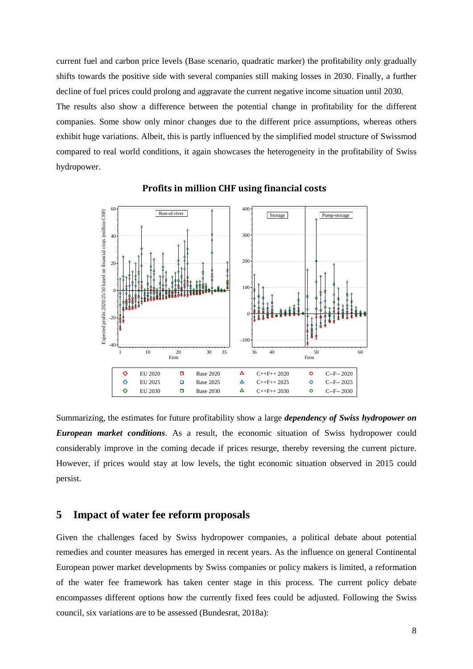current fuel and carbon price levels (Base scenario, quadratic marker) the profitability only gradually shifts towards the positive side with several companies still making losses in 2030. Finally, a further decline of fuel prices could prolong and aggravate the current negative income situation until 2030.

The results also show a difference between the potential change in profitability for the different companies. Some show only minor changes due to the different price assumptions, whereas others exhibit huge variations. Albeit, this is partly influenced by the simplified model structure of Swissmod compared to real world conditions, it again showcases the heterogeneity in the profitability of Swiss hydropower.



#### **Profits in million CHF using financial costs**

Summarizing, the estimates for future profitability show a large *dependency of Swiss hydropower on European market conditions*. As a result, the economic situation of Swiss hydropower could considerably improve in the coming decade if prices resurge, thereby reversing the current picture. However, if prices would stay at low levels, the tight economic situation observed in 2015 could persist.

#### **5 Impact of water fee reform proposals**

Given the challenges faced by Swiss hydropower companies, a political debate about potential remedies and counter measures has emerged in recent years. As the influence on general Continental European power market developments by Swiss companies or policy makers is limited, a reformation of the water fee framework has taken center stage in this process. The current policy debate encompasses different options how the currently fixed fees could be adjusted. Following the Swiss council, six variations are to be assessed (Bundesrat, 2018a):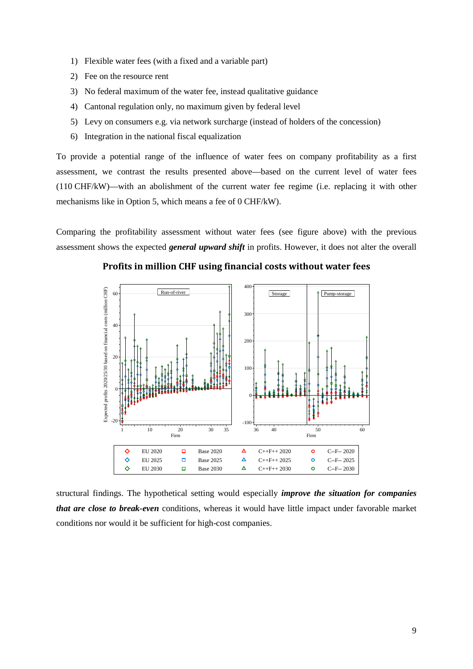- 1) Flexible water fees (with a fixed and a variable part)
- 2) Fee on the resource rent
- 3) No federal maximum of the water fee, instead qualitative guidance
- 4) Cantonal regulation only, no maximum given by federal level
- 5) Levy on consumers e.g. via network surcharge (instead of holders of the concession)
- 6) Integration in the national fiscal equalization

To provide a potential range of the influence of water fees on company profitability as a first assessment, we contrast the results presented above—based on the current level of water fees (110 CHF/kW)—with an abolishment of the current water fee regime (i.e. replacing it with other mechanisms like in Option 5, which means a fee of 0 CHF/kW).

Comparing the profitability assessment without water fees (see figure above) with the previous assessment shows the expected *general upward shift* in profits. However, it does not alter the overall

**Profits in million CHF using financial costs without water fees**



structural findings. The hypothetical setting would especially *improve the situation for companies that are close to break-even* conditions, whereas it would have little impact under favorable market conditions nor would it be sufficient for high-cost companies.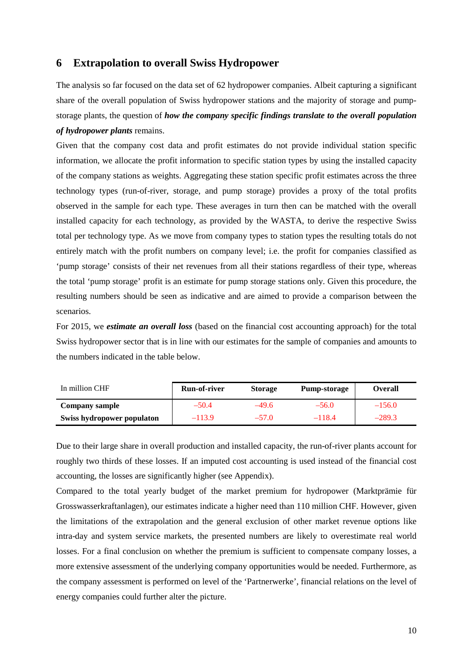## **6 Extrapolation to overall Swiss Hydropower**

The analysis so far focused on the data set of 62 hydropower companies. Albeit capturing a significant share of the overall population of Swiss hydropower stations and the majority of storage and pumpstorage plants, the question of *how the company specific findings translate to the overall population of hydropower plants* remains.

Given that the company cost data and profit estimates do not provide individual station specific information, we allocate the profit information to specific station types by using the installed capacity of the company stations as weights. Aggregating these station specific profit estimates across the three technology types (run-of-river, storage, and pump storage) provides a proxy of the total profits observed in the sample for each type. These averages in turn then can be matched with the overall installed capacity for each technology, as provided by the WASTA, to derive the respective Swiss total per technology type. As we move from company types to station types the resulting totals do not entirely match with the profit numbers on company level; i.e. the profit for companies classified as 'pump storage' consists of their net revenues from all their stations regardless of their type, whereas the total 'pump storage' profit is an estimate for pump storage stations only. Given this procedure, the resulting numbers should be seen as indicative and are aimed to provide a comparison between the scenarios.

For 2015, we *estimate an overall loss* (based on the financial cost accounting approach) for the total Swiss hydropower sector that is in line with our estimates for the sample of companies and amounts to the numbers indicated in the table below.

| In million CHF             | <b>Run-of-river</b> | <b>Storage</b> | <b>Pump-storage</b> | <b>Overall</b> |
|----------------------------|---------------------|----------------|---------------------|----------------|
| Company sample             | $-50.4$             | -49.6          | $-56.0$             | $-156.0$       |
| Swiss hydropower populaton | $-113.9$            | $-57.0$        | $-118.4$            | $-289.3$       |

Due to their large share in overall production and installed capacity, the run-of-river plants account for roughly two thirds of these losses. If an imputed cost accounting is used instead of the financial cost accounting, the losses are significantly higher (see Appendix).

Compared to the total yearly budget of the market premium for hydropower (Marktprämie für Grosswasserkraftanlagen), our estimates indicate a higher need than 110 million CHF. However, given the limitations of the extrapolation and the general exclusion of other market revenue options like intra-day and system service markets, the presented numbers are likely to overestimate real world losses. For a final conclusion on whether the premium is sufficient to compensate company losses, a more extensive assessment of the underlying company opportunities would be needed. Furthermore, as the company assessment is performed on level of the 'Partnerwerke', financial relations on the level of energy companies could further alter the picture.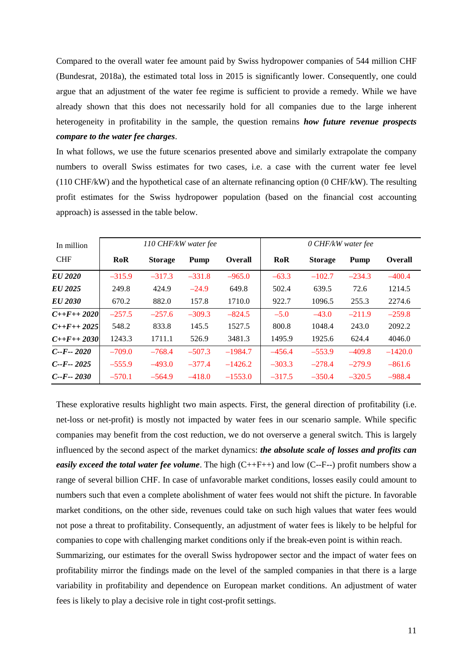Compared to the overall water fee amount paid by Swiss hydropower companies of 544 million CHF (Bundesrat, 2018a), the estimated total loss in 2015 is significantly lower. Consequently, one could argue that an adjustment of the water fee regime is sufficient to provide a remedy. While we have already shown that this does not necessarily hold for all companies due to the large inherent heterogeneity in profitability in the sample, the question remains *how future revenue prospects compare to the water fee charges*.

In what follows, we use the future scenarios presented above and similarly extrapolate the company numbers to overall Swiss estimates for two cases, i.e. a case with the current water fee level (110 CHF/kW) and the hypothetical case of an alternate refinancing option (0 CHF/kW). The resulting profit estimates for the Swiss hydropower population (based on the financial cost accounting approach) is assessed in the table below.

| In million          | 110 CHF/kW water fee |                |          |                | 0 CHF/kW water fee |                |          |                |
|---------------------|----------------------|----------------|----------|----------------|--------------------|----------------|----------|----------------|
| <b>CHF</b>          | <b>RoR</b>           | <b>Storage</b> | Pump     | <b>Overall</b> | RoR                | <b>Storage</b> | Pump     | <b>Overall</b> |
| EU 2020             | $-315.9$             | $-317.3$       | $-331.8$ | $-965.0$       | $-63.3$            | $-102.7$       | $-234.3$ | $-400.4$       |
| EU 2025             | 249.8                | 424.9          | $-24.9$  | 649.8          | 502.4              | 639.5          | 72.6     | 1214.5         |
| EU 2030             | 670.2                | 882.0          | 157.8    | 1710.0         | 922.7              | 1096.5         | 255.3    | 2274.6         |
| $C++F++2020$        | $-257.5$             | $-257.6$       | $-309.3$ | $-824.5$       | $-5.0$             | $-43.0$        | $-211.9$ | $-259.8$       |
| $C_{++}F_{++}$ 2025 | 548.2                | 833.8          | 145.5    | 1527.5         | 800.8              | 1048.4         | 243.0    | 2092.2         |
| $C_{++}F_{++}2030$  | 1243.3               | 1711.1         | 526.9    | 3481.3         | 1495.9             | 1925.6         | 624.4    | 4046.0         |
| $C - F - 2020$      | $-709.0$             | $-768.4$       | $-507.3$ | $-1984.7$      | $-456.4$           | $-553.9$       | $-409.8$ | $-1420.0$      |
| $C - F - 2025$      | $-555.9$             | $-493.0$       | $-377.4$ | $-1426.2$      | $-303.3$           | $-278.4$       | $-279.9$ | $-861.6$       |
| $C - F - 2030$      | $-570.1$             | $-564.9$       | $-418.0$ | $-1553.0$      | $-317.5$           | $-350.4$       | $-320.5$ | $-988.4$       |

These explorative results highlight two main aspects. First, the general direction of profitability (i.e. net-loss or net-profit) is mostly not impacted by water fees in our scenario sample. While specific companies may benefit from the cost reduction, we do not overserve a general switch. This is largely influenced by the second aspect of the market dynamics: *the absolute scale of losses and profits can easily exceed the total water fee volume*. The high (C++F++) and low (C--F--) profit numbers show a range of several billion CHF. In case of unfavorable market conditions, losses easily could amount to numbers such that even a complete abolishment of water fees would not shift the picture. In favorable market conditions, on the other side, revenues could take on such high values that water fees would not pose a threat to profitability. Consequently, an adjustment of water fees is likely to be helpful for companies to cope with challenging market conditions only if the break-even point is within reach.

Summarizing, our estimates for the overall Swiss hydropower sector and the impact of water fees on profitability mirror the findings made on the level of the sampled companies in that there is a large variability in profitability and dependence on European market conditions. An adjustment of water fees is likely to play a decisive role in tight cost-profit settings.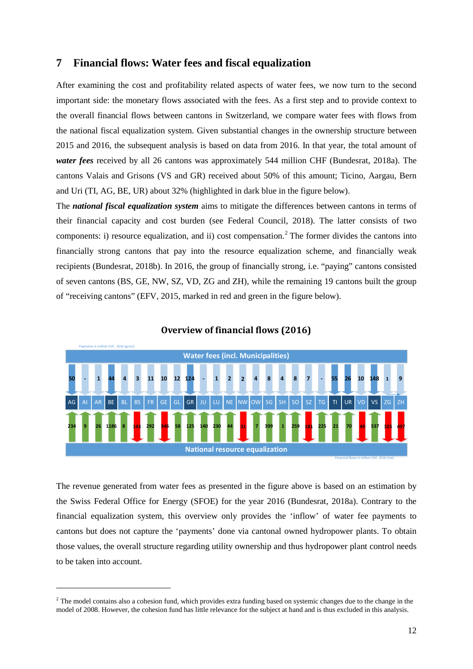## **7 Financial flows: Water fees and fiscal equalization**

After examining the cost and profitability related aspects of water fees, we now turn to the second important side: the monetary flows associated with the fees. As a first step and to provide context to the overall financial flows between cantons in Switzerland, we compare water fees with flows from the national fiscal equalization system. Given substantial changes in the ownership structure between 2015 and 2016, the subsequent analysis is based on data from 2016. In that year, the total amount of *water fees* received by all 26 cantons was approximately 544 million CHF (Bundesrat, 2018a). The cantons Valais and Grisons (VS and GR) received about 50% of this amount; Ticino, Aargau, Bern and Uri (TI, AG, BE, UR) about 32% (highlighted in dark blue in the figure below).

The *national fiscal equalization system* aims to mitigate the differences between cantons in terms of their financial capacity and cost burden (see Federal Council, 2018). The latter consists of two components: i) resource equalization, and ii) cost compensation. [2](#page-11-0) The former divides the cantons into financially strong cantons that pay into the resource equalization scheme, and financially weak recipients (Bundesrat, 2018b). In 2016, the group of financially strong, i.e. "paying" cantons consisted of seven cantons (BS, GE, NW, SZ, VD, ZG and ZH), while the remaining 19 cantons built the group of "receiving cantons" (EFV, 2015, marked in red and green in the figure below).



#### **Overview of financial flows (2016)**

The revenue generated from water fees as presented in the figure above is based on an estimation by the Swiss Federal Office for Energy (SFOE) for the year 2016 (Bundesrat, 2018a). Contrary to the financial equalization system, this overview only provides the 'inflow' of water fee payments to cantons but does not capture the 'payments' done via cantonal owned hydropower plants. To obtain those values, the overall structure regarding utility ownership and thus hydropower plant control needs to be taken into account.

 $\overline{a}$ 

<span id="page-11-0"></span><sup>&</sup>lt;sup>2</sup> The model contains also a cohesion fund, which provides extra funding based on systemic changes due to the change in the model of 2008. However, the cohesion fund has little relevance for the subject at hand and is thus excluded in this analysis.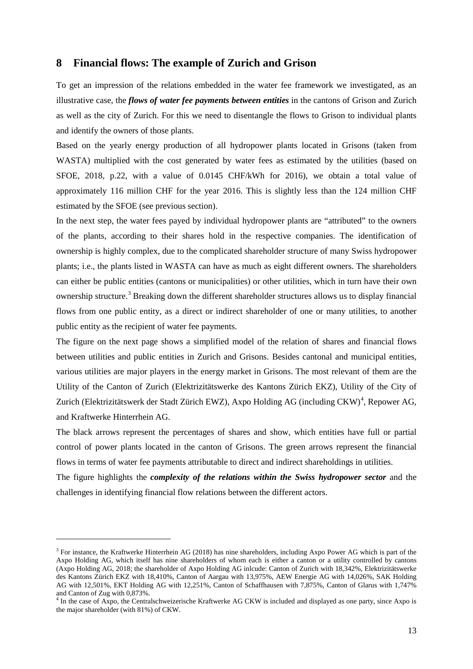#### **8 Financial flows: The example of Zurich and Grison**

To get an impression of the relations embedded in the water fee framework we investigated, as an illustrative case, the *flows of water fee payments between entities* in the cantons of Grison and Zurich as well as the city of Zurich. For this we need to disentangle the flows to Grison to individual plants and identify the owners of those plants.

Based on the yearly energy production of all hydropower plants located in Grisons (taken from WASTA) multiplied with the cost generated by water fees as estimated by the utilities (based on SFOE, 2018, p.22, with a value of 0.0145 CHF/kWh for 2016), we obtain a total value of approximately 116 million CHF for the year 2016. This is slightly less than the 124 million CHF estimated by the SFOE (see previous section).

In the next step, the water fees payed by individual hydropower plants are "attributed" to the owners of the plants, according to their shares hold in the respective companies. The identification of ownership is highly complex, due to the complicated shareholder structure of many Swiss hydropower plants; i.e., the plants listed in WASTA can have as much as eight different owners. The shareholders can either be public entities (cantons or municipalities) or other utilities, which in turn have their own ownership structure.[3](#page-12-0) Breaking down the different shareholder structures allows us to display financial flows from one public entity, as a direct or indirect shareholder of one or many utilities, to another public entity as the recipient of water fee payments.

The figure on the next page shows a simplified model of the relation of shares and financial flows between utilities and public entities in Zurich and Grisons. Besides cantonal and municipal entities, various utilities are major players in the energy market in Grisons. The most relevant of them are the Utility of the Canton of Zurich (Elektrizitätswerke des Kantons Zürich EKZ), Utility of the City of Zurich (Elektrizitätswerk der Stadt Zürich EWZ), Axpo Holding AG (including CKW)<sup>[4](#page-12-1)</sup>, Repower AG, and Kraftwerke Hinterrhein AG.

The black arrows represent the percentages of shares and show, which entities have full or partial control of power plants located in the canton of Grisons. The green arrows represent the financial flows in terms of water fee payments attributable to direct and indirect shareholdings in utilities.

The figure highlights the *complexity of the relations within the Swiss hydropower sector* and the challenges in identifying financial flow relations between the different actors.

 $\overline{a}$ 

<span id="page-12-0"></span> $3$  For instance, the Kraftwerke Hinterrhein AG (2018) has nine shareholders, including Axpo Power AG which is part of the Axpo Holding AG, which itself has nine shareholders of whom each is either a canton or a utility controlled by cantons (Axpo Holding AG, 2018; the shareholder of Axpo Holding AG inlcude: Canton of Zurich with 18,342%, Elektrizitätswerke des Kantons Zürich EKZ with 18,410%, Canton of Aargau with 13,975%, AEW Energie AG with 14,026%, SAK Holding AG with 12,501%, EKT Holding AG with 12,251%, Canton of Schaffhausen with 7,875%, Canton of Glarus with 1,747%

<span id="page-12-1"></span>and Canton of Zug with 0,873%.<br><sup>4</sup> In the case of Axpo, the Centralschweizerische Kraftwerke AG CKW is included and displayed as one party, since Axpo is the major shareholder (with 81%) of CKW.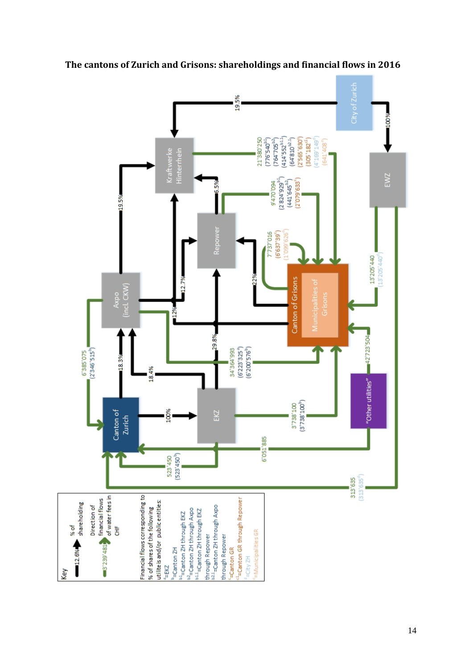

**The cantons of Zurich and Grisons: shareholdings and financial flows in 2016**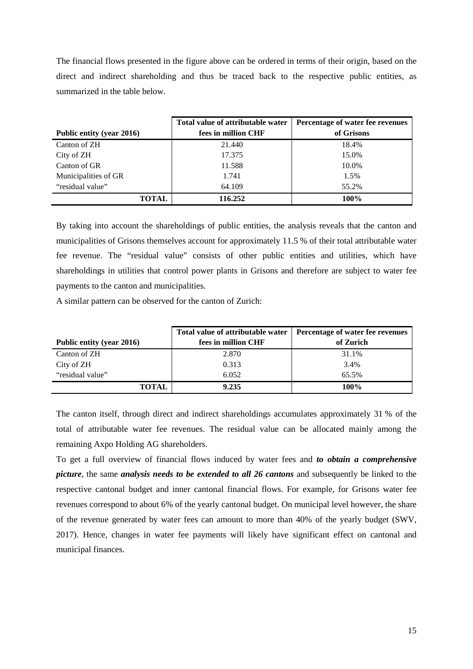The financial flows presented in the figure above can be ordered in terms of their origin, based on the direct and indirect shareholding and thus be traced back to the respective public entities, as summarized in the table below.

|                           | Total value of attributable water | Percentage of water fee revenues |  |  |
|---------------------------|-----------------------------------|----------------------------------|--|--|
| Public entity (year 2016) | fees in million CHF               | of Grisons                       |  |  |
| Canton of ZH              | 21.440                            | 18.4%                            |  |  |
| City of ZH                | 17.375                            | 15.0%                            |  |  |
| Canton of GR              | 11.588                            | 10.0%                            |  |  |
| Municipalities of GR      | 1.741                             | 1.5%                             |  |  |
| "residual value"          | 64.109                            | 55.2%                            |  |  |
| TOTAL.                    | 116.252                           | 100%                             |  |  |

By taking into account the shareholdings of public entities, the analysis reveals that the canton and municipalities of Grisons themselves account for approximately 11.5 % of their total attributable water fee revenue. The "residual value" consists of other public entities and utilities, which have shareholdings in utilities that control power plants in Grisons and therefore are subject to water fee payments to the canton and municipalities.

A similar pattern can be observed for the canton of Zurich:

|                           | Total value of attributable water | Percentage of water fee revenues |  |  |
|---------------------------|-----------------------------------|----------------------------------|--|--|
| Public entity (year 2016) | fees in million CHF               | of Zurich                        |  |  |
| Canton of ZH              | 2.870                             | 31.1%                            |  |  |
| City of ZH                | 0.313                             | 3.4%                             |  |  |
| "residual value"          | 6.052                             | 65.5%                            |  |  |
| <b>TOTAL</b>              | 9.235                             | 100%                             |  |  |

The canton itself, through direct and indirect shareholdings accumulates approximately 31 % of the total of attributable water fee revenues. The residual value can be allocated mainly among the remaining Axpo Holding AG shareholders.

To get a full overview of financial flows induced by water fees and *to obtain a comprehensive picture*, the same *analysis needs to be extended to all 26 cantons* and subsequently be linked to the respective cantonal budget and inner cantonal financial flows. For example, for Grisons water fee revenues correspond to about 6% of the yearly cantonal budget. On municipal level however, the share of the revenue generated by water fees can amount to more than 40% of the yearly budget (SWV, 2017). Hence, changes in water fee payments will likely have significant effect on cantonal and municipal finances.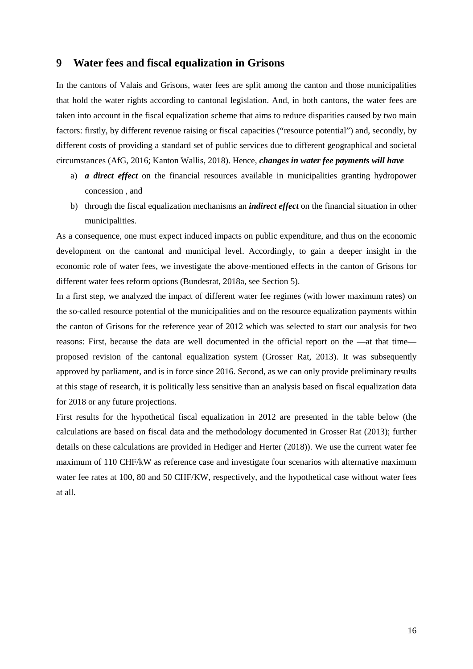## **9 Water fees and fiscal equalization in Grisons**

In the cantons of Valais and Grisons, water fees are split among the canton and those municipalities that hold the water rights according to cantonal legislation. And, in both cantons, the water fees are taken into account in the fiscal equalization scheme that aims to reduce disparities caused by two main factors: firstly, by different revenue raising or fiscal capacities ("resource potential") and, secondly, by different costs of providing a standard set of public services due to different geographical and societal circumstances (AfG, 2016; Kanton Wallis, 2018). Hence, *changes in water fee payments will have*

- a) *a direct effect* on the financial resources available in municipalities granting hydropower concession , and
- b) through the fiscal equalization mechanisms an *indirect effect* on the financial situation in other municipalities.

As a consequence, one must expect induced impacts on public expenditure, and thus on the economic development on the cantonal and municipal level. Accordingly, to gain a deeper insight in the economic role of water fees, we investigate the above-mentioned effects in the canton of Grisons for different water fees reform options (Bundesrat, 2018a, see Section 5).

In a first step, we analyzed the impact of different water fee regimes (with lower maximum rates) on the so-called resource potential of the municipalities and on the resource equalization payments within the canton of Grisons for the reference year of 2012 which was selected to start our analysis for two reasons: First, because the data are well documented in the official report on the —at that time proposed revision of the cantonal equalization system (Grosser Rat, 2013). It was subsequently approved by parliament, and is in force since 2016. Second, as we can only provide preliminary results at this stage of research, it is politically less sensitive than an analysis based on fiscal equalization data for 2018 or any future projections.

First results for the hypothetical fiscal equalization in 2012 are presented in the table below (the calculations are based on fiscal data and the methodology documented in Grosser Rat (2013); further details on these calculations are provided in Hediger and Herter (2018)). We use the current water fee maximum of 110 CHF/kW as reference case and investigate four scenarios with alternative maximum water fee rates at 100, 80 and 50 CHF/KW, respectively, and the hypothetical case without water fees at all.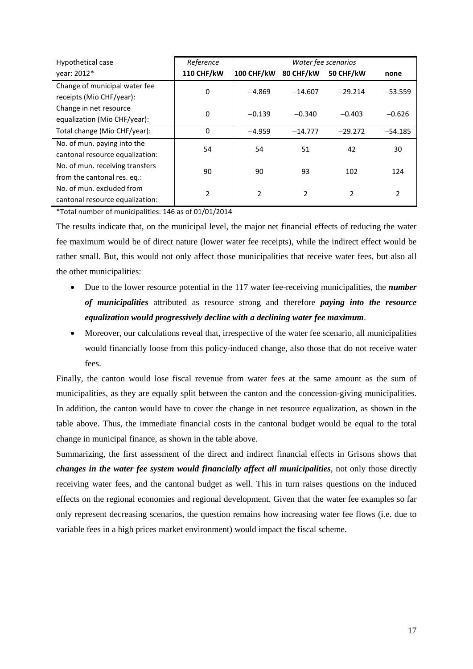| Hypothetical case               | Reference         | Water fee scenarios |           |           |           |
|---------------------------------|-------------------|---------------------|-----------|-----------|-----------|
| year: 2012*                     | <b>110 CHF/kW</b> | 100 CHF/kW          | 80 CHF/kW | 50 CHF/kW | none      |
| Change of municipal water fee   | 0                 | $-4.869$            | $-14.607$ | $-29.214$ | $-53.559$ |
| receipts (Mio CHF/year):        |                   |                     |           |           |           |
| Change in net resource          | $\Omega$          | $-0.139$            | $-0.340$  | $-0.403$  | $-0.626$  |
| equalization (Mio CHF/year):    |                   |                     |           |           |           |
| Total change (Mio CHF/year):    | $\Omega$          | $-4.959$            | $-14.777$ | $-29.272$ | $-54.185$ |
| No. of mun. paying into the     | 54                | 54                  | 51        | 42        | 30        |
| cantonal resource equalization: |                   |                     |           |           |           |
| No. of mun. receiving transfers | 90                | 90                  | 93        | 102       | 124       |
| from the cantonal res. eq.:     |                   |                     |           |           |           |
| No. of mun. excluded from       | 2                 | 2                   | 2         | 2         | 2         |
| cantonal resource equalization: |                   |                     |           |           |           |

\*Total number of municipalities: 146 as of 01/01/2014

The results indicate that, on the municipal level, the major net financial effects of reducing the water fee maximum would be of direct nature (lower water fee receipts), while the indirect effect would be rather small. But, this would not only affect those municipalities that receive water fees, but also all the other municipalities:

- Due to the lower resource potential in the 117 water fee-receiving municipalities, the *number of municipalities* attributed as resource strong and therefore *paying into the resource equalization would progressively decline with a declining water fee maximum*.
- Moreover, our calculations reveal that, irrespective of the water fee scenario, all municipalities would financially loose from this policy-induced change, also those that do not receive water fees.

Finally, the canton would lose fiscal revenue from water fees at the same amount as the sum of municipalities, as they are equally split between the canton and the concession-giving municipalities. In addition, the canton would have to cover the change in net resource equalization, as shown in the table above. Thus, the immediate financial costs in the cantonal budget would be equal to the total change in municipal finance, as shown in the table above.

Summarizing, the first assessment of the direct and indirect financial effects in Grisons shows that *changes in the water fee system would financially affect all municipalities*, not only those directly receiving water fees, and the cantonal budget as well. This in turn raises questions on the induced effects on the regional economies and regional development. Given that the water fee examples so far only represent decreasing scenarios, the question remains how increasing water fee flows (i.e. due to variable fees in a high prices market environment) would impact the fiscal scheme.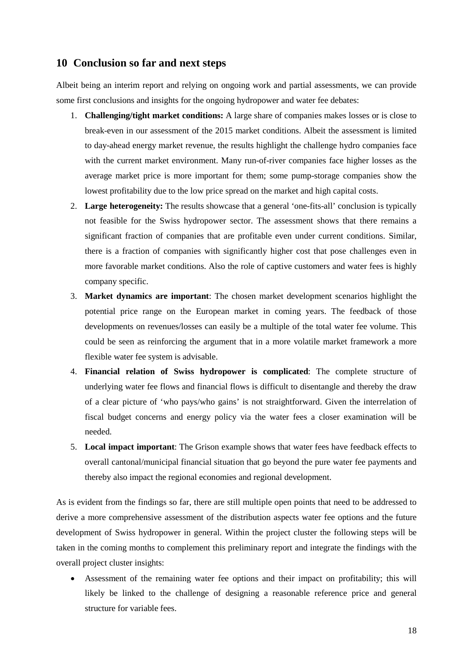#### **10 Conclusion so far and next steps**

Albeit being an interim report and relying on ongoing work and partial assessments, we can provide some first conclusions and insights for the ongoing hydropower and water fee debates:

- 1. **Challenging/tight market conditions:** A large share of companies makes losses or is close to break-even in our assessment of the 2015 market conditions. Albeit the assessment is limited to day-ahead energy market revenue, the results highlight the challenge hydro companies face with the current market environment. Many run-of-river companies face higher losses as the average market price is more important for them; some pump-storage companies show the lowest profitability due to the low price spread on the market and high capital costs.
- 2. **Large heterogeneity:** The results showcase that a general 'one-fits-all' conclusion is typically not feasible for the Swiss hydropower sector. The assessment shows that there remains a significant fraction of companies that are profitable even under current conditions. Similar, there is a fraction of companies with significantly higher cost that pose challenges even in more favorable market conditions. Also the role of captive customers and water fees is highly company specific.
- 3. **Market dynamics are important**: The chosen market development scenarios highlight the potential price range on the European market in coming years. The feedback of those developments on revenues/losses can easily be a multiple of the total water fee volume. This could be seen as reinforcing the argument that in a more volatile market framework a more flexible water fee system is advisable.
- 4. **Financial relation of Swiss hydropower is complicated**: The complete structure of underlying water fee flows and financial flows is difficult to disentangle and thereby the draw of a clear picture of 'who pays/who gains' is not straightforward. Given the interrelation of fiscal budget concerns and energy policy via the water fees a closer examination will be needed.
- 5. **Local impact important**: The Grison example shows that water fees have feedback effects to overall cantonal/municipal financial situation that go beyond the pure water fee payments and thereby also impact the regional economies and regional development.

As is evident from the findings so far, there are still multiple open points that need to be addressed to derive a more comprehensive assessment of the distribution aspects water fee options and the future development of Swiss hydropower in general. Within the project cluster the following steps will be taken in the coming months to complement this preliminary report and integrate the findings with the overall project cluster insights:

• Assessment of the remaining water fee options and their impact on profitability; this will likely be linked to the challenge of designing a reasonable reference price and general structure for variable fees.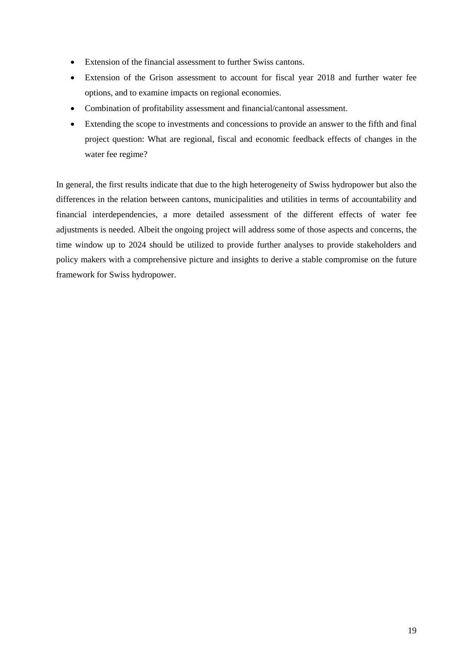- Extension of the financial assessment to further Swiss cantons.
- Extension of the Grison assessment to account for fiscal year 2018 and further water fee options, and to examine impacts on regional economies.
- Combination of profitability assessment and financial/cantonal assessment.
- Extending the scope to investments and concessions to provide an answer to the fifth and final project question: What are regional, fiscal and economic feedback effects of changes in the water fee regime?

In general, the first results indicate that due to the high heterogeneity of Swiss hydropower but also the differences in the relation between cantons, municipalities and utilities in terms of accountability and financial interdependencies, a more detailed assessment of the different effects of water fee adjustments is needed. Albeit the ongoing project will address some of those aspects and concerns, the time window up to 2024 should be utilized to provide further analyses to provide stakeholders and policy makers with a comprehensive picture and insights to derive a stable compromise on the future framework for Swiss hydropower.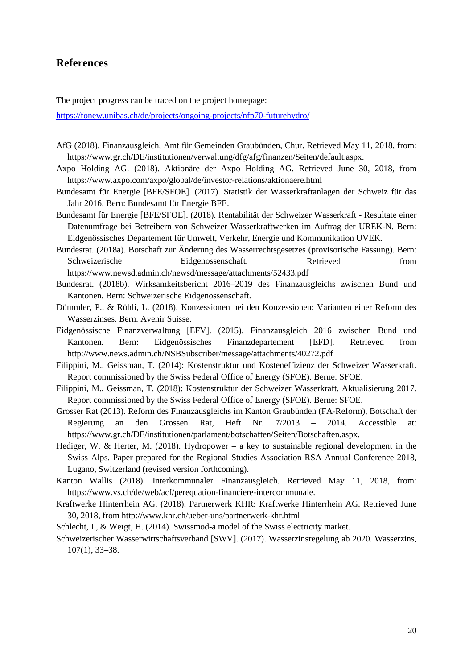## **References**

The project progress can be traced on the project homepage:

<https://fonew.unibas.ch/de/projects/ongoing-projects/nfp70-futurehydro/>

- AfG (2018). Finanzausgleich, Amt für Gemeinden Graubünden, Chur. Retrieved May 11, 2018, from: https://www.gr.ch/DE/institutionen/verwaltung/dfg/afg/finanzen/Seiten/default.aspx.
- Axpo Holding AG. (2018). Aktionäre der Axpo Holding AG. Retrieved June 30, 2018, from <https://www.axpo.com/axpo/global/de/investor-relations/aktionaere.html>
- Bundesamt für Energie [BFE/SFOE]. (2017). Statistik der Wasserkraftanlagen der Schweiz für das Jahr 2016. Bern: Bundesamt für Energie BFE.
- Bundesamt für Energie [BFE/SFOE]. (2018). Rentabilität der Schweizer Wasserkraft Resultate einer Datenumfrage bei Betreibern von Schweizer Wasserkraftwerken im Auftrag der UREK-N. Bern: Eidgenössisches Departement für Umwelt, Verkehr, Energie und Kommunikation UVEK.
- Bundesrat. (2018a). Botschaft zur Änderung des Wasserrechtsgesetzes (provisorische Fassung). Bern: Schweizerische Eidgenossenschaft. Retrieved from <https://www.newsd.admin.ch/newsd/message/attachments/52433.pdf>
- Bundesrat. (2018b). Wirksamkeitsbericht 2016–2019 des Finanzausgleichs zwischen Bund und Kantonen. Bern: Schweizerische Eidgenossenschaft.
- Dümmler, P., & Rühli, L. (2018). Konzessionen bei den Konzessionen: Varianten einer Reform des Wasserzinses. Bern: Avenir Suisse.
- Eidgenössische Finanzverwaltung [EFV]. (2015). Finanzausgleich 2016 zwischen Bund und Kantonen. Bern: Eidgenössisches Finanzdepartement [EFD]. Retrieved from <http://www.news.admin.ch/NSBSubscriber/message/attachments/40272.pdf>
- Filippini, M., Geissman, T. (2014): Kostenstruktur und Kosteneffizienz der Schweizer Wasserkraft. Report commissioned by the Swiss Federal Office of Energy (SFOE). Berne: SFOE.
- Filippini, M., Geissman, T. (2018): Kostenstruktur der Schweizer Wasserkraft. Aktualisierung 2017. Report commissioned by the Swiss Federal Office of Energy (SFOE). Berne: SFOE.
- Grosser Rat (2013). Reform des Finanzausgleichs im Kanton Graubünden (FA-Reform), Botschaft der Regierung an den Grossen Rat, Heft Nr. 7/2013 – 2014. Accessible at: [https://www.gr.ch/DE/institutionen/parlament/botschaften/Seiten/Botschaften.aspx.](https://www.gr.ch/DE/institutionen/parlament/botschaften/Seiten/Botschaften.aspx)
- Hediger, W. & Herter, M. (2018). Hydropower a key to sustainable regional development in the Swiss Alps. Paper prepared for the Regional Studies Association RSA Annual Conference 2018, Lugano, Switzerland (revised version forthcoming).
- Kanton Wallis (2018). Interkommunaler Finanzausgleich. Retrieved May 11, 2018, from: https://www.vs.ch/de/web/acf/perequation-financiere-intercommunale.
- Kraftwerke Hinterrhein AG. (2018). Partnerwerk KHR: Kraftwerke Hinterrhein AG. Retrieved June 30, 2018, from<http://www.khr.ch/ueber-uns/partnerwerk-khr.html>
- Schlecht, I., & Weigt, H. (2014). Swissmod-a model of the Swiss electricity market.
- Schweizerischer Wasserwirtschaftsverband [SWV]. (2017). Wasserzinsregelung ab 2020. Wasserzins, 107(1), 33–38.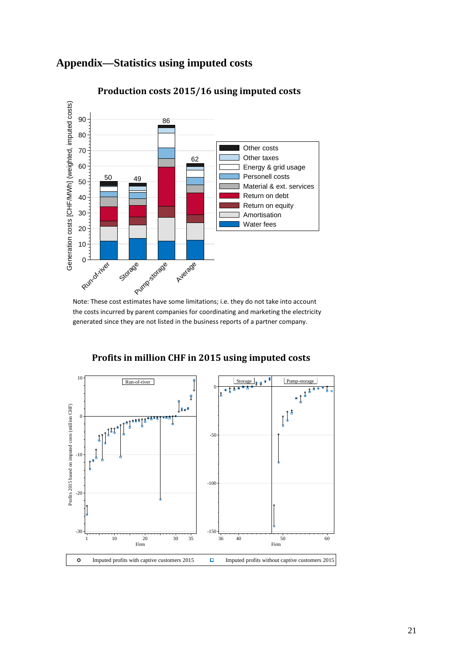

## **Appendix—Statistics using imputed costs**

**Production costs 2015/16 using imputed costs**

Note: These cost estimates have some limitations; i.e. they do not take into account the costs incurred by parent companies for coordinating and marketing the electricity generated since they are not listed in the business reports of a partner company.



**Profits in million CHF in 2015 using imputed costs**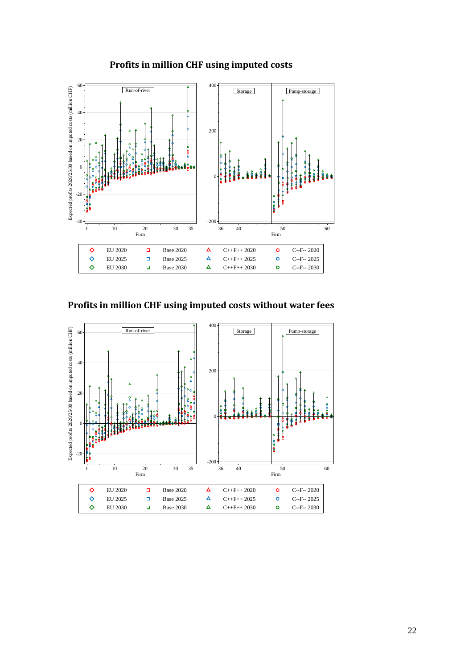



**Profits in million CHF using imputed costs without water fees**